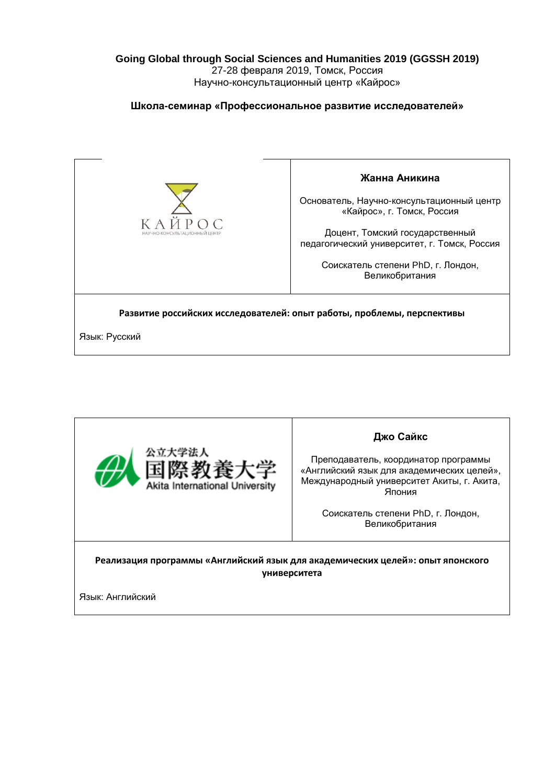## **Going Global through Social Sciences and Humanities 2019 (GGSSH 2019)** 27-28 февраля 2019, Томск, Россия Научно-консультационный центр «Кайрос»

# **Школа-семинар «Профессиональное развитие исследователей»**



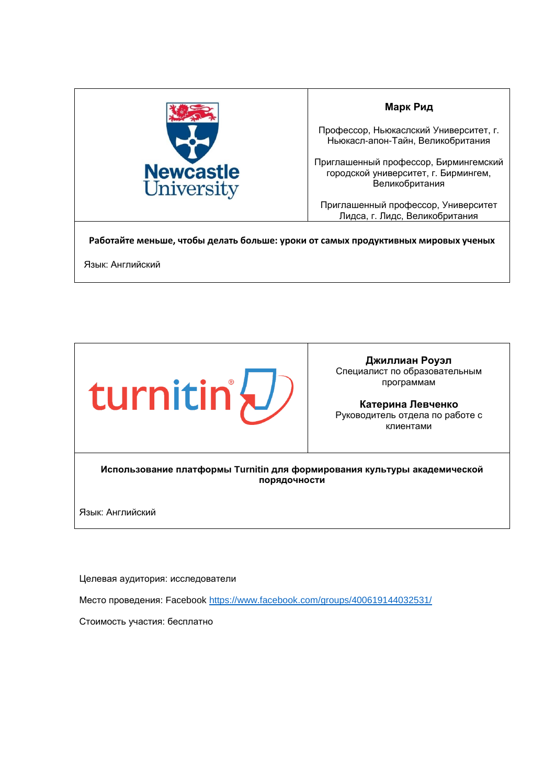

### **Марк Рид**

Профессор, Ньюкаслский Университет, г. Ньюкасл-апон-Тайн, Великобритания

Приглашенный профессор, Бирмингемский городской университет, г. Бирмингем, Великобритания

Приглашенный профессор, Университет Лидса, г. Лидс, Великобритания

**Работайте меньше, чтобы делать больше: уроки от самых продуктивных мировых ученых**

Язык: Английский



**Джиллиан Роуэл** Специалист по образовательным программам

**Катерина Левченко** Руководитель отдела по работе с клиентами

**Использование платформы Turnitin для формирования культуры академической порядочности** 

Язык: Английский

Целевая аудитория: исследователи

Место проведения: Facebook <https://www.facebook.com/groups/400619144032531/>

Стоимость участия: бесплатно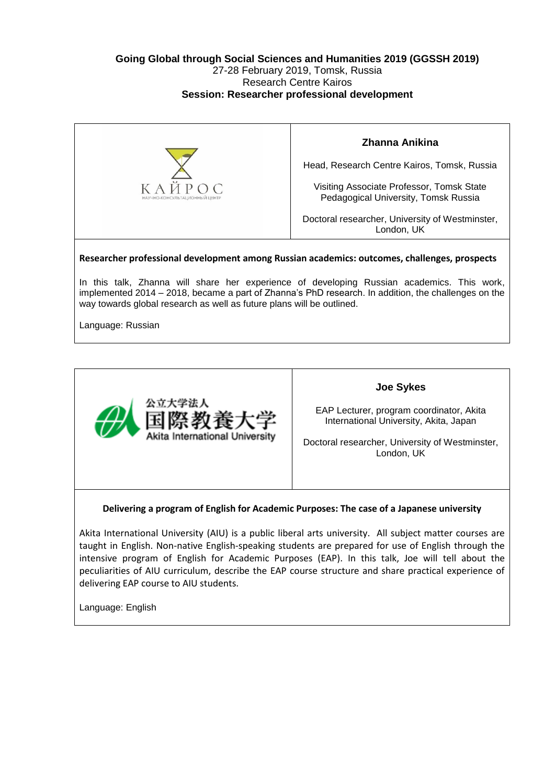### **Going Global through Social Sciences and Humanities 2019 (GGSSH 2019)** 27-28 February 2019, Tomsk, Russia Research Centre Kairos **Session: Researcher professional development**



Language: Russian



#### **Joe Sykes**

EAP Lecturer, program coordinator, Akita International University, Akita, Japan

Doctoral researcher, University of Westminster, London, UK

#### **Delivering a program of English for Academic Purposes: The case of a Japanese university**

Akita International University (AIU) is a public liberal arts university. All subject matter courses are taught in English. Non-native English-speaking students are prepared for use of English through the intensive program of English for Academic Purposes (EAP). In this talk, Joe will tell about the peculiarities of AIU curriculum, describe the EAP course structure and share practical experience of delivering EAP course to AIU students.

Language: English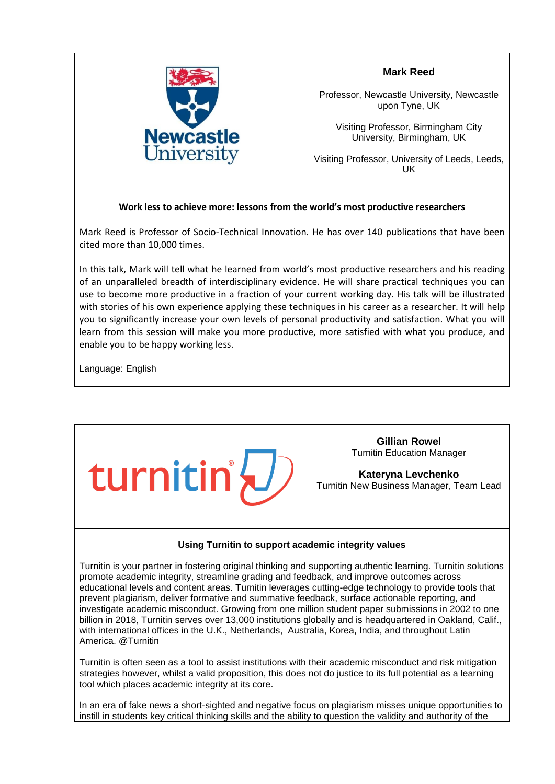

**Mark Reed** 

Professor, Newcastle University, Newcastle upon Tyne, UK

Visiting Professor, Birmingham City University, Birmingham, UK

Visiting Professor, University of Leeds, Leeds, UK

# **Work less to achieve more: lessons from the world's most productive researchers**

Mark Reed is Professor of Socio-Technical Innovation. He has over 140 publications that have been cited more than 10,000 times.

In this talk, Mark will tell what he learned from world's most productive researchers and his reading of an unparalleled breadth of interdisciplinary evidence. He will share practical techniques you can use to become more productive in a fraction of your current working day. His talk will be illustrated with stories of his own experience applying these techniques in his career as a researcher. It will help you to significantly increase your own levels of personal productivity and satisfaction. What you will learn from this session will make you more productive, more satisfied with what you produce, and enable you to be happy working less.

Language: English



**Gillian Rowel** Turnitin Education Manager

**Kateryna Levchenko**  Turnitin New Business Manager, Team Lead

#### **Using Turnitin to support academic integrity values**

Turnitin is your partner in fostering original thinking and supporting authentic learning. Turnitin solutions promote academic integrity, streamline grading and feedback, and improve outcomes across educational levels and content areas. Turnitin leverages cutting-edge technology to provide tools that prevent plagiarism, deliver formative and summative feedback, surface actionable reporting, and investigate academic misconduct. Growing from one million student paper submissions in 2002 to one billion in 2018, Turnitin serves over 13,000 institutions globally and is headquartered in Oakland, Calif., with international offices in the U.K., Netherlands, Australia, Korea, India, and throughout Latin America. @Turnitin

Turnitin is often seen as a tool to assist institutions with their academic misconduct and risk mitigation strategies however, whilst a valid proposition, this does not do justice to its full potential as a learning tool which places academic integrity at its core.

In an era of fake news a short-sighted and negative focus on plagiarism misses unique opportunities to instill in students key critical thinking skills and the ability to question the validity and authority of the